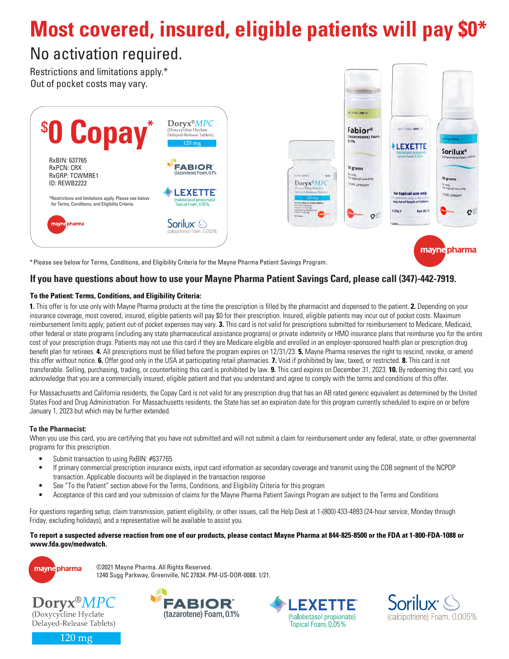# **Most covered, insured, eligible patients will pay \$0\***

## No activation required.

Restrictions and limitations apply.\* Out of pocket costs may vary.



\*Please see below for Terms, Conditions, and Eligibility Criteria for the Mayne Pharma Patient Savings Program.

#### **If you have questions about how to use your Mayne Pharma Patient Savings Card, please call (347)-442-7919.**

#### **To the Patient: Terms, Conditions, and Eligibility Criteria:**

**1.** This offer is for use only with Mayne Pharma products at the time the prescription is filled by the pharmacist and dispensed to the patient. **2.** Depending on your insurance coverage, most covered, insured, eligible patients will pay \$0 for their prescription. Insured, eligible patients may incur out of pocket costs. Maximum reimbursement limits apply; patient out-of pocket expenses may vary. **3.** This card is not valid for prescriptions submitted for reimbursement to Medicare, Medicaid, other federal or state programs (including any state pharmaceutical assistance programs) or private indemnity or HMO insurance plans that reimburse you for the entire cost of your prescription drugs. Patients may not use this card if they are Medicare eligible and enrolled in an employer-sponsored health plan or prescription drug benefit plan for retirees. **4.** All prescriptions must be filled before the program expires on 12/31/23. **5.** Mayne Pharma reserves the right to rescind, revoke, or amend this offer without notice. **6.** Offer good only in the USA at participating retail pharmacies. **7.** Void if prohibited by law, taxed, or restricted. **8.** This card is not transferable. Selling, purchasing, trading, or counterfeiting this card is prohibited by law. **9.** This card expires on December 31, 2023. **10.** By redeeming this card, you acknowledge that you are a commercially insured, eligible patient and that you understand and agree to comply with the terms and conditions of this offer.

For Massachusetts and California residents, the Copay Card is not valid for any prescription drug that has an AB rated generic equivalent as determined by the United States Food and Drug Administration. For Massachusetts residents, the State has set an expiration date for this program currently scheduled to expire on or before January 1, 2023 but which may be further extended.

#### **To the Pharmacist:**

When you use this card, you are certifying that you have not submitted and will not submit a claim for reimbursement under any federal, state, or other governmental programs for this prescription.

- Submit transaction to using RxBIN: #637765
- If primary commercial prescription insurance exists, input card information as secondary coverage and transmit using the COB segment of the NCPDP transaction. Applicable discounts will be displayed in the transaction response
- See "To the Patient" section above For the Terms, Conditions, and Eligibility Criteria for this program
- Acceptance of this card and your submission of claims for the Mayne Pharma Patient Savings Program are subject to the Terms and Conditions

For questions regarding setup, claim transmission, patient eligibility, or other issues, call the Help Desk at 1-(800) 433-4893 (24-hour service, Monday through Friday, excluding holidays), and a representative will be available to assist you.

#### **To report a suspected adverse reaction from one of our products, please contact Mayne Pharma at 844-825-8500 or the FDA at 1-800-FDA-1088 or www.fda.gov/medwatch.**



©2021 Mayne Pharma. All Rights Reserved. 1240 Sugg Parkway, Greenville, NC 27834. PM-US-DOR-0088. 1/21.









 $120 \text{ mg}$